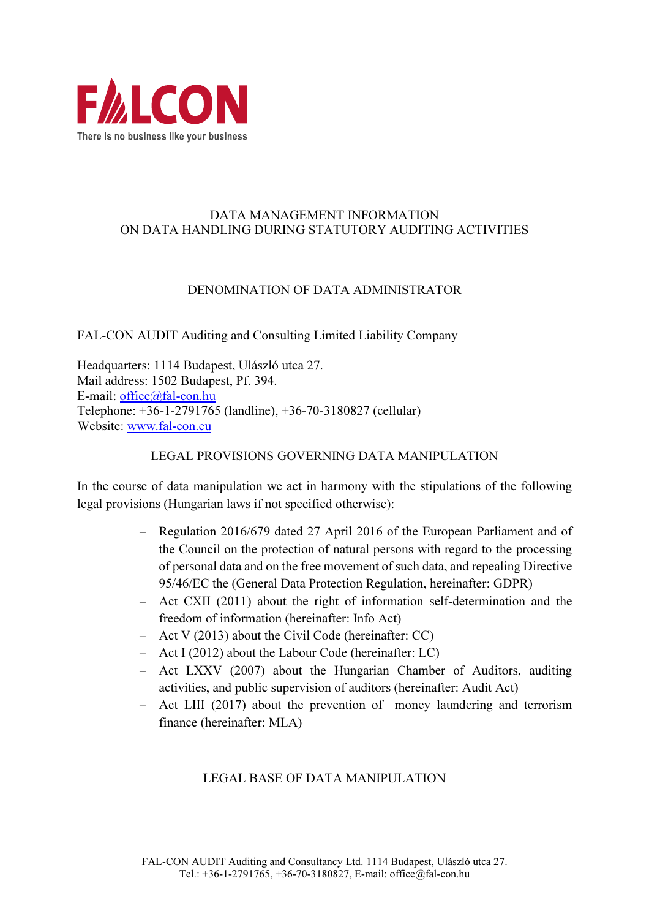

#### DATA MANAGEMENT INFORMATION ON DATA HANDLING DURING STATUTORY AUDITING ACTIVITIES

#### DENOMINATION OF DATA ADMINISTRATOR

FAL-CON AUDIT Auditing and Consulting Limited Liability Company

Headquarters: 1114 Budapest, Ulászló utca 27. Mail address: 1502 Budapest, Pf. 394. E-mail: office@fal-con.hu Telephone: +36-1-2791765 (landline), +36-70-3180827 (cellular) Website: www.fal-con.eu

#### LEGAL PROVISIONS GOVERNING DATA MANIPULATION

In the course of data manipulation we act in harmony with the stipulations of the following legal provisions (Hungarian laws if not specified otherwise):

- − Regulation 2016/679 dated 27 April 2016 of the European Parliament and of the Council on the protection of natural persons with regard to the processing of personal data and on the free movement of such data, and repealing Directive 95/46/EC the (General Data Protection Regulation, hereinafter: GDPR)
- − Act CXII (2011) about the right of information self-determination and the freedom of information (hereinafter: Info Act)
- − Act V (2013) about the Civil Code (hereinafter: CC)
- − Act I (2012) about the Labour Code (hereinafter: LC)
- − Act LXXV (2007) about the Hungarian Chamber of Auditors, auditing activities, and public supervision of auditors (hereinafter: Audit Act)
- − Act LIII (2017) about the prevention of money laundering and terrorism finance (hereinafter: MLA)

### LEGAL BASE OF DATA MANIPULATION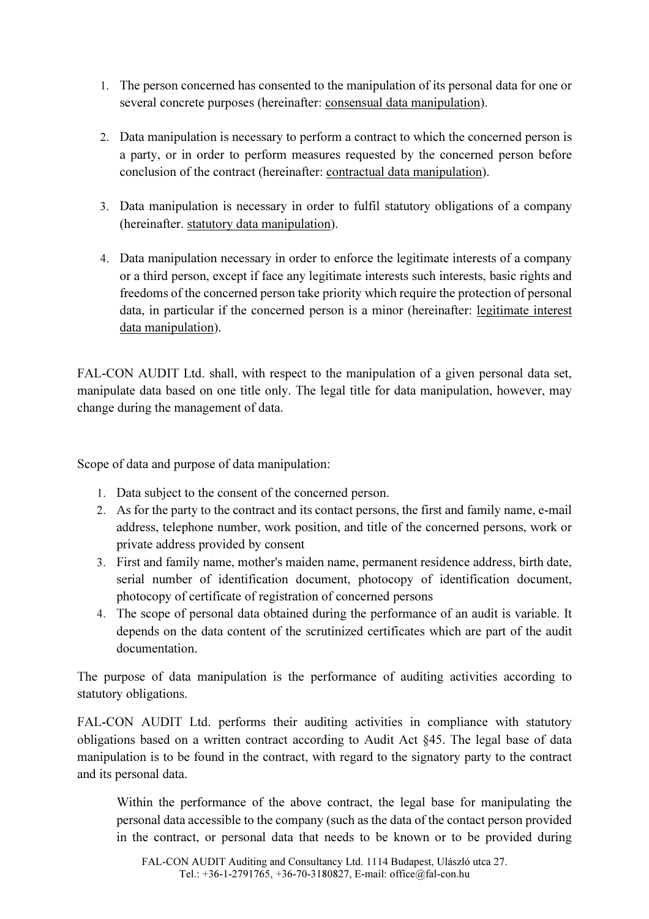- 1. The person concerned has consented to the manipulation of its personal data for one or several concrete purposes (hereinafter: consensual data manipulation).
- 2. Data manipulation is necessary to perform a contract to which the concerned person is a party, or in order to perform measures requested by the concerned person before conclusion of the contract (hereinafter: contractual data manipulation).
- 3. Data manipulation is necessary in order to fulfil statutory obligations of a company (hereinafter. statutory data manipulation).
- 4. Data manipulation necessary in order to enforce the legitimate interests of a company or a third person, except if face any legitimate interests such interests, basic rights and freedoms of the concerned person take priority which require the protection of personal data, in particular if the concerned person is a minor (hereinafter: legitimate interest data manipulation).

FAL-CON AUDIT Ltd. shall, with respect to the manipulation of a given personal data set, manipulate data based on one title only. The legal title for data manipulation, however, may change during the management of data.

Scope of data and purpose of data manipulation:

- 1. Data subject to the consent of the concerned person.
- 2. As for the party to the contract and its contact persons, the first and family name, e-mail address, telephone number, work position, and title of the concerned persons, work or private address provided by consent
- 3. First and family name, mother's maiden name, permanent residence address, birth date, serial number of identification document, photocopy of identification document, photocopy of certificate of registration of concerned persons
- 4. The scope of personal data obtained during the performance of an audit is variable. It depends on the data content of the scrutinized certificates which are part of the audit documentation.

The purpose of data manipulation is the performance of auditing activities according to statutory obligations.

FAL-CON AUDIT Ltd. performs their auditing activities in compliance with statutory obligations based on a written contract according to Audit Act §45. The legal base of data manipulation is to be found in the contract, with regard to the signatory party to the contract and its personal data.

Within the performance of the above contract, the legal base for manipulating the personal data accessible to the company (such as the data of the contact person provided in the contract, or personal data that needs to be known or to be provided during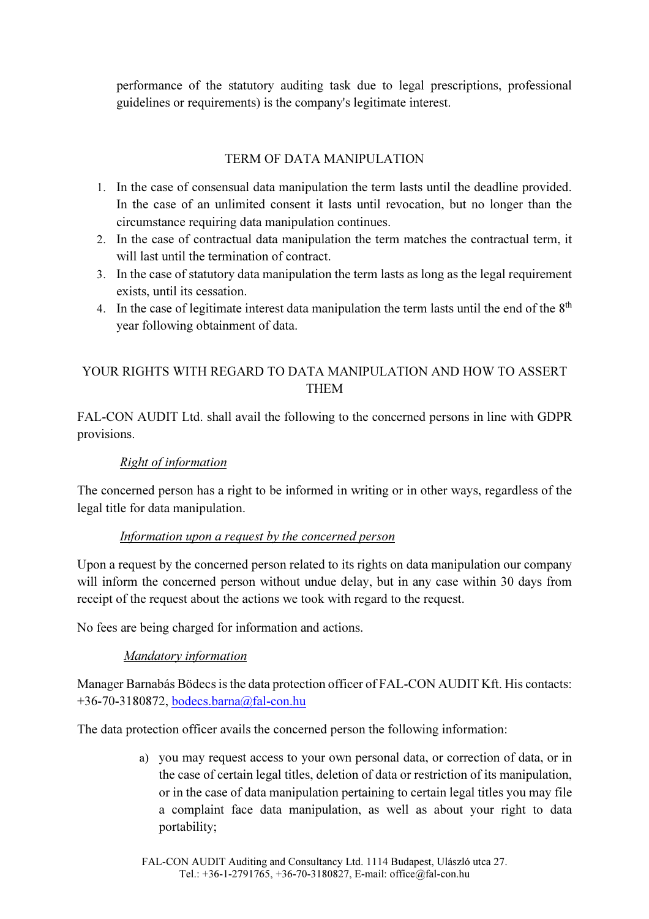performance of the statutory auditing task due to legal prescriptions, professional guidelines or requirements) is the company's legitimate interest.

## TERM OF DATA MANIPULATION

- 1. In the case of consensual data manipulation the term lasts until the deadline provided. In the case of an unlimited consent it lasts until revocation, but no longer than the circumstance requiring data manipulation continues.
- 2. In the case of contractual data manipulation the term matches the contractual term, it will last until the termination of contract.
- 3. In the case of statutory data manipulation the term lasts as long as the legal requirement exists, until its cessation.
- 4. In the case of legitimate interest data manipulation the term lasts until the end of the 8<sup>th</sup> year following obtainment of data.

# YOUR RIGHTS WITH REGARD TO DATA MANIPULATION AND HOW TO ASSERT THEM

FAL-CON AUDIT Ltd. shall avail the following to the concerned persons in line with GDPR provisions.

### Right of information

The concerned person has a right to be informed in writing or in other ways, regardless of the legal title for data manipulation.

#### Information upon a request by the concerned person

Upon a request by the concerned person related to its rights on data manipulation our company will inform the concerned person without undue delay, but in any case within 30 days from receipt of the request about the actions we took with regard to the request.

No fees are being charged for information and actions.

### Mandatory information

Manager Barnabás Bödecs is the data protection officer of FAL-CON AUDIT Kft. His contacts: +36-70-3180872, bodecs.barna@fal-con.hu

The data protection officer avails the concerned person the following information:

a) you may request access to your own personal data, or correction of data, or in the case of certain legal titles, deletion of data or restriction of its manipulation, or in the case of data manipulation pertaining to certain legal titles you may file a complaint face data manipulation, as well as about your right to data portability;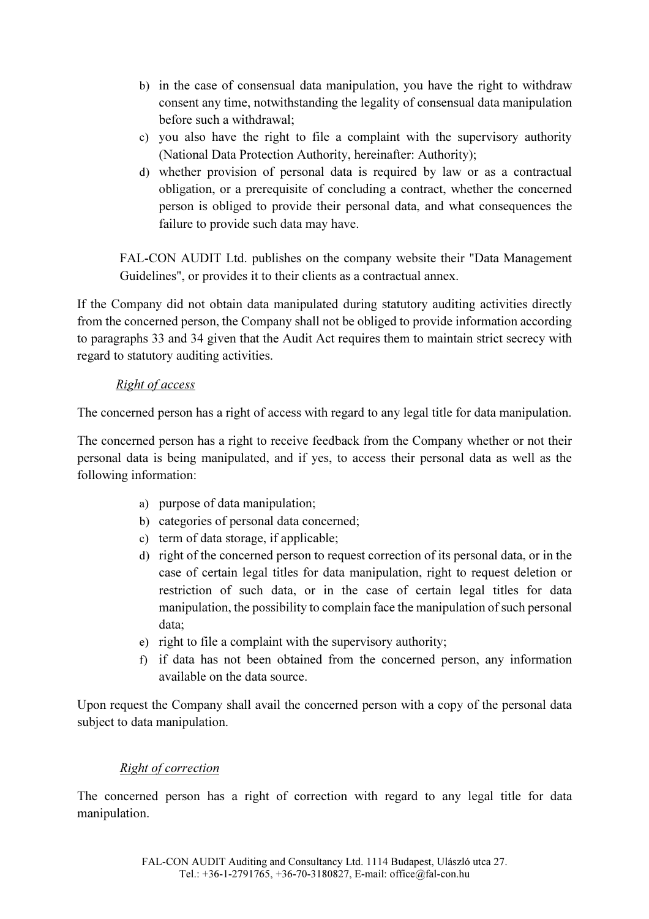- b) in the case of consensual data manipulation, you have the right to withdraw consent any time, notwithstanding the legality of consensual data manipulation before such a withdrawal;
- c) you also have the right to file a complaint with the supervisory authority (National Data Protection Authority, hereinafter: Authority);
- d) whether provision of personal data is required by law or as a contractual obligation, or a prerequisite of concluding a contract, whether the concerned person is obliged to provide their personal data, and what consequences the failure to provide such data may have.

FAL-CON AUDIT Ltd. publishes on the company website their "Data Management Guidelines", or provides it to their clients as a contractual annex.

If the Company did not obtain data manipulated during statutory auditing activities directly from the concerned person, the Company shall not be obliged to provide information according to paragraphs 33 and 34 given that the Audit Act requires them to maintain strict secrecy with regard to statutory auditing activities.

#### Right of access

The concerned person has a right of access with regard to any legal title for data manipulation.

The concerned person has a right to receive feedback from the Company whether or not their personal data is being manipulated, and if yes, to access their personal data as well as the following information:

- a) purpose of data manipulation;
- b) categories of personal data concerned;
- c) term of data storage, if applicable;
- d) right of the concerned person to request correction of its personal data, or in the case of certain legal titles for data manipulation, right to request deletion or restriction of such data, or in the case of certain legal titles for data manipulation, the possibility to complain face the manipulation of such personal data;
- e) right to file a complaint with the supervisory authority;
- f) if data has not been obtained from the concerned person, any information available on the data source.

Upon request the Company shall avail the concerned person with a copy of the personal data subject to data manipulation.

### Right of correction

The concerned person has a right of correction with regard to any legal title for data manipulation.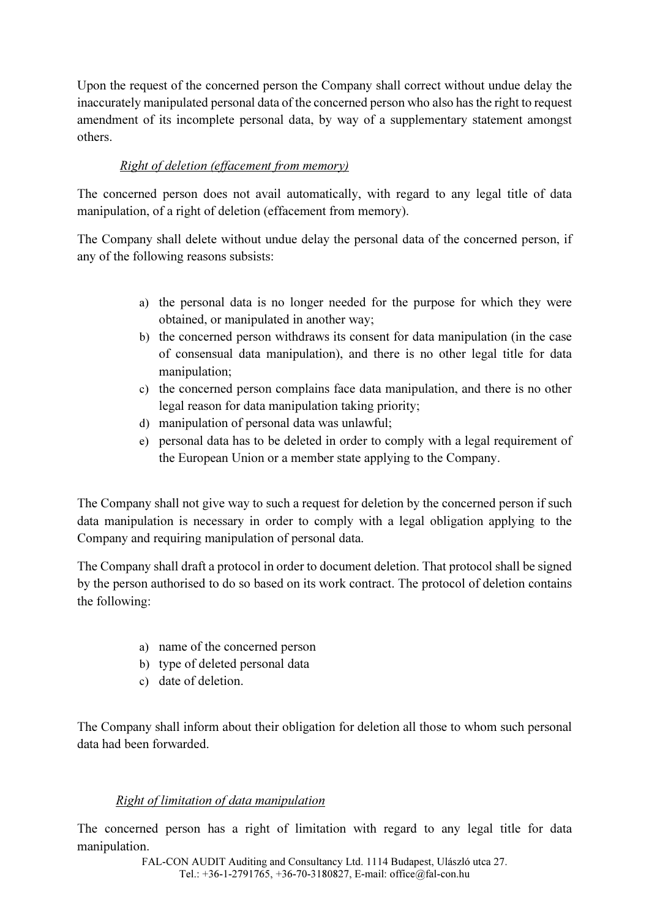Upon the request of the concerned person the Company shall correct without undue delay the inaccurately manipulated personal data of the concerned person who also has the right to request amendment of its incomplete personal data, by way of a supplementary statement amongst others.

# Right of deletion (effacement from memory)

The concerned person does not avail automatically, with regard to any legal title of data manipulation, of a right of deletion (effacement from memory).

The Company shall delete without undue delay the personal data of the concerned person, if any of the following reasons subsists:

- a) the personal data is no longer needed for the purpose for which they were obtained, or manipulated in another way;
- b) the concerned person withdraws its consent for data manipulation (in the case of consensual data manipulation), and there is no other legal title for data manipulation;
- c) the concerned person complains face data manipulation, and there is no other legal reason for data manipulation taking priority;
- d) manipulation of personal data was unlawful;
- e) personal data has to be deleted in order to comply with a legal requirement of the European Union or a member state applying to the Company.

The Company shall not give way to such a request for deletion by the concerned person if such data manipulation is necessary in order to comply with a legal obligation applying to the Company and requiring manipulation of personal data.

The Company shall draft a protocol in order to document deletion. That protocol shall be signed by the person authorised to do so based on its work contract. The protocol of deletion contains the following:

- a) name of the concerned person
- b) type of deleted personal data
- c) date of deletion.

The Company shall inform about their obligation for deletion all those to whom such personal data had been forwarded.

### Right of limitation of data manipulation

The concerned person has a right of limitation with regard to any legal title for data manipulation.